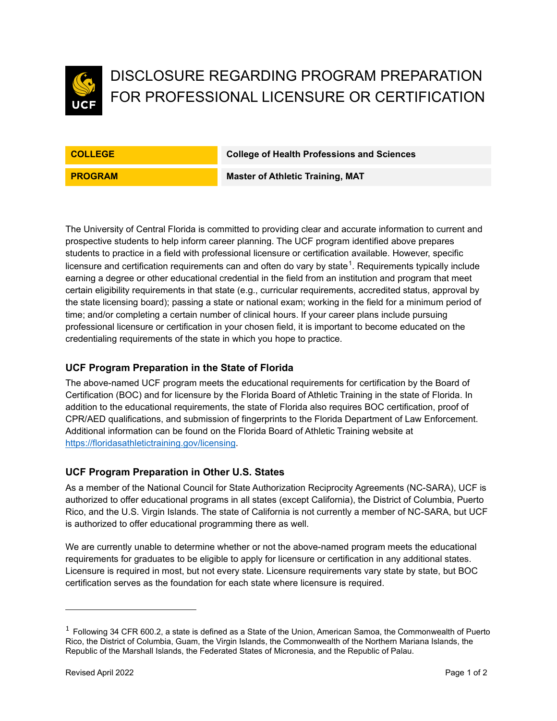

# DISCLOSURE REGARDING PROGRAM PREPARATION FOR PROFESSIONAL LICENSURE OR CERTIFICATION

**COLLEGE College of Health Professions and Sciences**

**PROGRAM Master of Athletic Training, MAT** 

The University of Central Florida is committed to providing clear and accurate information to current and prospective students to help inform career planning. The UCF program identified above prepares students to practice in a field with professional licensure or certification available. However, specific licensure and certification requirements can and often do vary by state $^1$  $^1$ . Requirements typically include earning a degree or other educational credential in the field from an institution and program that meet certain eligibility requirements in that state (e.g., curricular requirements, accredited status, approval by the state licensing board); passing a state or national exam; working in the field for a minimum period of time; and/or completing a certain number of clinical hours. If your career plans include pursuing professional licensure or certification in your chosen field, it is important to become educated on the credentialing requirements of the state in which you hope to practice.

# **UCF Program Preparation in the State of Florida**

The above-named UCF program meets the educational requirements for certification by the Board of Certification (BOC) and for licensure by the Florida Board of Athletic Training in the state of Florida. In addition to the educational requirements, the state of Florida also requires BOC certification, proof of CPR/AED qualifications, and submission of fingerprints to the Florida Department of Law Enforcement. Additional information can be found on the Florida Board of Athletic Training website at [https://floridasathletictraining.gov/licensing.](https://floridasathletictraining.gov/licensing)

# **UCF Program Preparation in Other U.S. States**

As a member of the National Council for State Authorization Reciprocity Agreements (NC-SARA), UCF is authorized to offer educational programs in all states (except California), the District of Columbia, Puerto Rico, and the U.S. Virgin Islands. The state of California is not currently a member of NC-SARA, but UCF is authorized to offer educational programming there as well.

We are currently unable to determine whether or not the above-named program meets the educational requirements for graduates to be eligible to apply for licensure or certification in any additional states. Licensure is required in most, but not every state. Licensure requirements vary state by state, but BOC certification serves as the foundation for each state where licensure is required.

<span id="page-0-0"></span> $1$  Following 34 CFR 600.2, a state is defined as a State of the Union, American Samoa, the Commonwealth of Puerto Rico, the District of Columbia, Guam, the Virgin Islands, the Commonwealth of the Northern Mariana Islands, the Republic of the Marshall Islands, the Federated States of Micronesia, and the Republic of Palau.